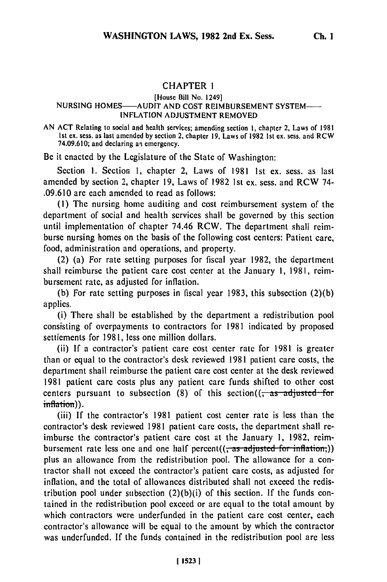## **CHAPTER 1**

## [House Bill No. 1249] **NURSING HOMES-AUDIT AND COST** REIMBURSEMENT SYSTEM-**INFLATION ADJUSTMENT** REMOVED

**AN ACT** Relating to social and health services; amending section **I,** chapter 2, Laws of **1981 1st ex.** sess. as last amended **by** section 2, chapter **19,** Laws of **1982** 1st **ex.** sess. and RCW 74.09.610; and declaring an emergency.

Be it enacted by the Legislature **of** the State of Washington:

Section 1. Section 1, chapter 2, Laws of 1981 1st ex. sess. as last amended by section 2, chapter 19, Laws of 1982 1st ex. sess. and RCW 74- .09.610 are each amended to read as follows:

**(1)** The nursing home auditing and cost reimbursement system of the department of social and health services shall be governed by this section until implementation of chapter 74.46 RCW. The department shall reimburse nursing homes on the basis of the following cost centers: Patient care, food, administration and operations, and property.

(2) (a) For rate setting purposes for fiscal year 1982, the department shall reimburse the patient care cost center at the January **1,** 1981, reimbursement rate, as adjusted for inflation.

(b) For rate setting purposes in fiscal year 1983, this subsection (2)(b) applies.

(i) There shall be established by the department a redistribution pool consisting of overpayments to contractors for 1981 indicated by proposed settlements for 1981, less one million dollars.

(ii) If a contractor's patient care cost center rate for 1981 is greater than or equal to the contractor's desk reviewed 1981 patient care costs, the department shall reimburse the patient care cost center at the desk reviewed 1981 patient care costs plus any patient care funds shifted to other cost centers pursuant to subsection  $(8)$  of this section $((\frac{1}{3})$  adjusted for inflation)).

(iii) If the contractor's 1981 patient cost center rate is less than the contractor's desk reviewed 1981 patient care costs, the department shall reimburse the contractor's patient care cost at the January 1, 1982, reimbursement rate less one and one half percent((<del>, as adjusted for inflation,</del>)) plus an allowance from the redistribution pool. The allowance for a contractor shall not exceed the contractor's patient care costs, as adjusted for inflation, and the total of allowances distributed shall not exceed the redistribution pool under subsection  $(2)(b)(i)$  of this section. If the funds contained in the redistribution pool exceed or are equal to the total amount by which contractors were underfunded in the patient care cost center, each contractor's allowance will be equal to the amount by which the contractor was underfunded. If the funds contained in the redistribution pool are less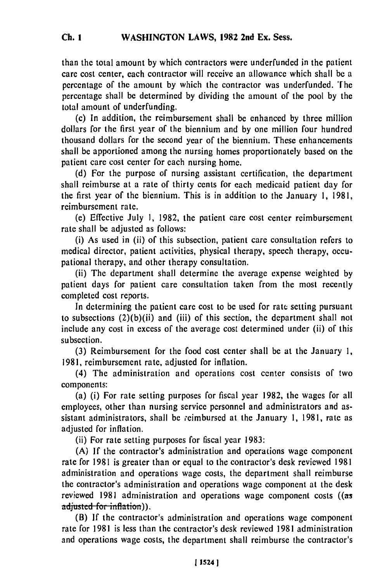than the total amount by which contractors were underfunded in the patient care cost center, each contractor will receive an allowance which shall be a percentage of the amount by which the contractor was underfunded. The percentage shall be determined by dividing the amount of the pool by the total amount of underfunding.

(c) In addition, the reimbursement shall be enhanced by three million dollars for the first year of the biennium and by one million four hundred thousand dollars for the second year of the biennium. These enhancements shall be apportioned among the nursing homes proportionately based on the patient care cost center for each nursing home.

(d) For the purpose of nursing assistant certification, the department shall reimburse at a rate of thirty cents for each medicaid patient day for the first year of the biennium. This is in addition to the January 1, 1981, reimbursement rate.

**(c)** Effective July 1, 1982, the patient care cost center reimbursement rate shall be adjusted as follows:

(i) As used in (ii) of this subsection, patient care consultation refers to medical director, patient activities, physical therapy, speech therapy, occupational therapy, and other therapy consultation.

(ii) The department shall determine the average expense weighted by patient days for patient care consultation taken from the most recently completed cost reports.

In determining the patient care cost to be used for rate setting pursuant to subsections (2)(b)(ii) and (iii) of this section, the department shall not include any cost in excess of the average cost determined under (ii) of this subsection.

(3) Reimbursement for the food cost center shall be at the January **1,** 1981, reimbursement rate, adjusted for inflation.

(4) The administration and operations cost center consists of two components:

(a) (i) For rate setting purposes for fiscal year 1982, the wages for all employees, other than nursing service personnel and administrators and assistant administrators, shall be reimbursed at the January 1, 1981, rate as adjusted for inflation.

(ii) For rate setting purposes for fiscal year 1983:

(A) If the contractor's administration and operations wage component rate for 1981 is greater than or equal to the contractor's desk reviewed 1981 administration and operations wage costs, the department shall reimburse the contractor's administration and operations wage component at the desk reviewed 1081 administration and operations wage component costs ((as adjusted...........ion)). adjusted for inflation)).<br>(B) If the contractor's administration and operations wage component

rate for 1981 is less than the contractor's desk reviewed 1981 administration and operations wage costs, the department shall reimburse the contractor's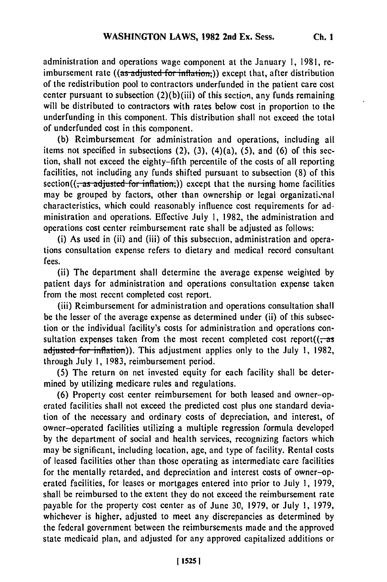**Ch. I**

administration and operations wage component at the January 1, 1981, reimbursement rate ((as adjusted for inflation;)) except that, after distribution of the redistribution pool to contractors underfunded in the patient care cost center pursuant to subsection (2)(b)(iii) of this section, any funds remaining will be distributed to contractors with rates below cost in proportion to the underfunding in this component. This distribution shall not exceed the total of underfunded cost in this component.

**(b)** Reimbursement for administration and operations, including all items not specified in subsections (2), **(3),** (4)(a), **(5),** and **(6)** of this **sec**tion, shall not exceed the eighty-fifth percentile of the costs of all reporting facilities, not including any funds shifted pursuant to subsection **(8)** of this  $section((\tau as \text{ adjusted-for inflation}))$  except that the nursing home facilities may be grouped by factors, other than ownership or legal organizational characteristics, which could reasonably influence cost requirements for **ad**ministration and operations. Effective July **1,** 1982, the administration and operations cost center reimbursement rate shall be adjusted as follows:

(i) As used in (ii) and (iii) of this subsection, administration and operations consultation expense refers to dietary and medical record consultant fees.

(ii) The department shall determine the average expense weighted **by** patient days for administration and operations consultation expense taken from the most recent completed cost report.

(iii) Reimbursement for administration and operations consultation shall be the lesser of the average expense as determined under (ii) of this subsection or the individual facility's costs for administration and operations consultation expenses taken from the most recent completed cost report( $\left(\frac{1}{x}-a\right)$ adjusted for inflation)). This adjustment applies only to the July 1, 1982, through July **1, 1983,** reimbursement period.

**(5)** The return on net invested equity for each facility shall be determined **by** utilizing medicare rules and regulations.

**(6)** Property cost center reimbursement for both leased and owner-operated facilities shall not exceed the predicted cost plus one standard deviation of the necessary and ordinary costs of depreciation, and interest, of owner-operated facilities utilizing a multiple regression formula developed **by** the department of social and health services, recognizing factors which may be significant, including location, age, and type of facility. Rental costs of leased facilities other than those operating as intermediate care facilities for the mentally retarded, and depreciation and interest costs of owner-operated facilities, for leases or mortgages entered into prior to July **1, 1979,** shall be reimbursed to the extent they do not exceed the reimbursement rate payable for the property cost center as of June **30,** 1979, or July **1,** 1979, whichever is higher, adjusted to meet any discrepancies as determined by the federal government between the reimbursements made and the approved state medicaid plan, and adjusted for any approved capitalized additions or